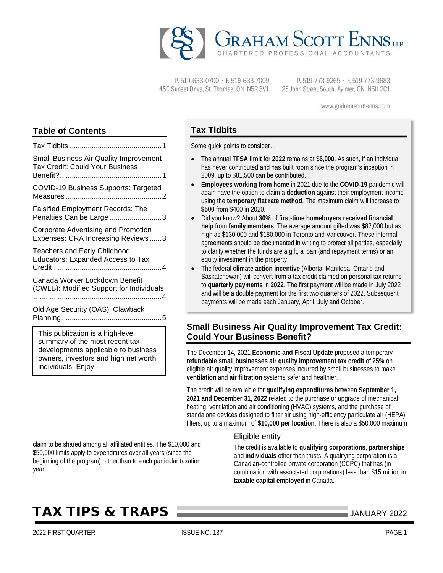

P. 519-633-0700 · F. 519-633-7009 450 Sunset Drive, St. Thomas, ON N5R 5V1

P. 519-773-9265 · F. 519-773-9683 25 John Street South, Aylmer, ON N5H 2C1

www.grahamscottenns.com

# **Table of Contents**

| <b>Small Business Air Quality Improvement</b><br><b>Tax Credit: Could Your Business</b> |
|-----------------------------------------------------------------------------------------|
| COVID-19 Business Supports: Targeted                                                    |
| <b>Falsified Employment Records: The</b><br>Penalties Can be Large 3                    |
| Corporate Advertising and Promotion<br>Expenses: CRA Increasing Reviews3                |
| <b>Teachers and Early Childhood</b><br><b>Educators: Expanded Access to Tax</b>         |
| Canada Worker Lockdown Benefit<br>(CWLB): Modified Support for Individuals              |
| Old Age Security (OAS): Clawback                                                        |
| This publication is a high-level<br>summary of the most recent tax                      |

summary of the most recent tax developments applicable to business owners, investors and high net worth individuals. Enjoy!

# **Tax Tidbits**

Some quick points to consider…

- The annual **TFSA limit** for **2022** remains at **\$6,000**. As such, if an individual has never contributed and has built room since the program's inception in 2009, up to \$81,500 can be contributed.
- **Employees working from home** in 2021 due to the **COVID-19** pandemic will again have the option to claim a **deduction** against their employment income using the **temporary flat rate method**. The maximum claim will increase to **\$500** from \$400 in 2020.
- Did you know? About **30%** of **first-time homebuyers received financial help** from **family members**. The average amount gifted was \$82,000 but as high as \$130,000 and \$180,000 in Toronto and Vancouver. These informal agreements should be documented in writing to protect all parties, especially to clarify whether the funds are a gift, a loan (and repayment terms) or an equity investment in the property.
- The federal **climate action incentive** (Alberta, Manitoba, Ontario and Saskatchewan) will convert from a tax credit claimed on personal tax returns to **quarterly payments** in **2022**. The first payment will be made in July 2022 and will be a double payment for the first two quarters of 2022. Subsequent payments will be made each January, April, July and October.

# <span id="page-0-0"></span>**Small Business Air Quality Improvement Tax Credit: Could Your Business Benefit?**

The December 14, 2021 **Economic and Fiscal Update** proposed a temporary **refundable small businesses air quality improvement tax credit** of **25%** on eligible air quality improvement expenses incurred by small businesses to make **ventilation** and **air filtration** systems safer and healthier.

The credit will be available for **qualifying expenditures** between **September 1, 2021 and December 31, 2022** related to the purchase or upgrade of mechanical heating, ventilation and air conditioning (HVAC) systems, and the purchase of standalone devices designed to filter air using high-efficiency particulate air (HEPA) filters, up to a maximum of **\$10,000 per location**. There is also a \$50,000 maximum

#### Eligible entity

The credit is available to **qualifying corporations**, **partnerships** and **individuals** other than trusts. A qualifying corporation is a Canadian-controlled private corporation (CCPC) that has (in combination with associated corporations) less than \$15 million in **taxable capital employed** in Canada.

# TAX TIPS & TRAPS JANUARY <sup>2022</sup>

claim to be shared among all affiliated entities. The \$10,000 and \$50,000 limits apply to expenditures over all years (since the beginning of the program) rather than to each particular taxation

year.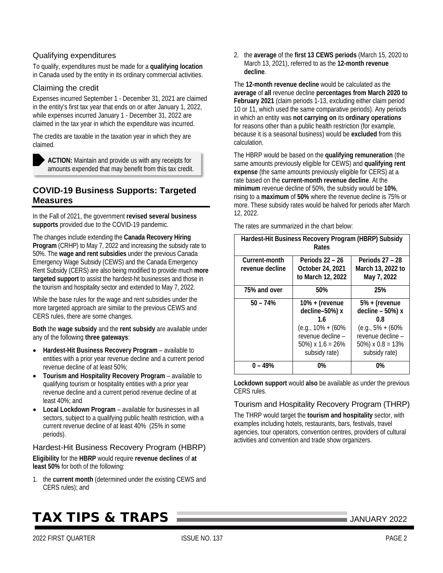### Qualifying expenditures

To qualify, expenditures must be made for a **qualifying location** in Canada used by the entity in its ordinary commercial activities.

### Claiming the credit

Expenses incurred September 1 - December 31, 2021 are claimed in the entity's first tax year that ends on or after January 1, 2022, while expenses incurred January 1 - December 31, 2022 are claimed in the tax year in which the expenditure was incurred.

The credits are taxable in the taxation year in which they are claimed.

**ACTION:** Maintain and provide us with any receipts for amounts expended that may benefit from this tax credit.

## <span id="page-1-0"></span>**COVID-19 Business Supports: Targeted Measures**

In the Fall of 2021, the government **revised several business supports** provided due to the COVID-19 pandemic.

The changes include extending the **Canada Recovery Hiring Program** (CRHP) to May 7, 2022 and increasing the subsidy rate to 50%. The **wage and rent subsidies** under the previous Canada Emergency Wage Subsidy (CEWS) and the Canada Emergency Rent Subsidy (CERS) are also being modified to provide much **more targeted support** to assist the hardest-hit businesses and those in the tourism and hospitality sector and extended to May 7, 2022.

While the base rules for the wage and rent subsidies under the more targeted approach are similar to the previous CEWS and CERS rules, there are some changes.

**Both** the **wage subsidy** and the **rent subsidy** are available under any of the following **three gateways**:

- **Hardest-Hit Business Recovery Program** available to entities with a prior year revenue decline and a current period revenue decline of at least 50%;
- **Tourism and Hospitality Recovery Program** available to qualifying tourism or hospitality entities with a prior year revenue decline and a current period revenue decline of at least 40%; and
- **Local Lockdown Program** available for businesses in all sectors, subject to a qualifying public health restriction, with a current revenue decline of at least 40% (25% in some periods).

Hardest-Hit Business Recovery Program (HBRP)

**Eligibility** for the **HBRP** would require **revenue declines** of **at least 50%** for both of the following:

1. the **current month** (determined under the existing CEWS and CERS rules); and

# TAX TIPS & TRAPS JANUARY <sup>2022</sup>

2. the **average** of the **first 13 CEWS periods** (March 15, 2020 to March 13, 2021), referred to as the **12-month revenue decline**.

The **12-month revenue decline** would be calculated as the **average** of **all** revenue decline **percentages from March 2020 to February 2021** (claim periods 1-13, excluding either claim period 10 or 11, which used the same comparative periods). Any periods in which an entity was **not carrying on** its **ordinary operations** for reasons other than a public health restriction (for example, because it is a seasonal business) would be **excluded** from this calculation.

The HBRP would be based on the **qualifying remuneration** (the same amounts previously eligible for CEWS) and **qualifying rent expense** (the same amounts previously eligible for CERS) at a rate based on the **current-month revenue decline**. At the **minimum** revenue decline of 50%, the subsidy would be **10%**, rising to a **maximum** of **50%** where the revenue decline is 75% or more. These subsidy rates would be halved for periods after March 12, 2022.

| Hardest-Hit Business Recovery Program (HBRP) Subsidy<br>Rates |                                                                                                                                 |                                                                                                                                 |  |
|---------------------------------------------------------------|---------------------------------------------------------------------------------------------------------------------------------|---------------------------------------------------------------------------------------------------------------------------------|--|
| Current-month<br>revenue decline                              | Periods 22 – 26<br>October 24, 2021<br>to March 12, 2022                                                                        | Periods 27 - 28<br>March 13, 2022 to<br>May 7, 2022                                                                             |  |
| 75% and over                                                  | 50%                                                                                                                             | 25%                                                                                                                             |  |
| $50 - 74%$                                                    | $10% +$ (revenue<br>decline-50%) x<br>1.6<br>$(e.g., 10\% + (60\%)$<br>revenue decline -<br>50%) $x 1.6 = 26%$<br>subsidy rate) | $5% +$ (revenue<br>decline - 50%) x<br>0.8<br>$(e.g., 5\% + (60\%)$<br>revenue decline -<br>50%) $x 0.8 = 13%$<br>subsidy rate) |  |
| በ – 49%                                                       | 0%                                                                                                                              | 0%                                                                                                                              |  |

The rates are summarized in the chart below:

**Lockdown support** would **also** be available as under the previous CERS rules.

### Tourism and Hospitality Recovery Program (THRP)

The THRP would target the **tourism and hospitality** sector, with examples including hotels, restaurants, bars, festivals, travel agencies, tour operators, convention centres, providers of cultural activities and convention and trade show organizers.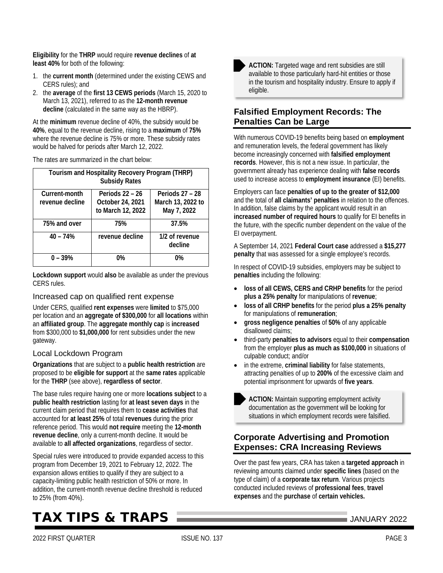**Eligibility** for the **THRP** would require **revenue declines** of **at least 40%** for both of the following:

- 1. the **current month** (determined under the existing CEWS and CERS rules); and
- 2. the **average** of the **first 13 CEWS periods** (March 15, 2020 to March 13, 2021), referred to as the **12-month revenue decline** (calculated in the same way as the HBRP).

At the **minimum** revenue decline of 40%, the subsidy would be **40%**, equal to the revenue decline, rising to a **maximum** of **75%** where the revenue decline is 75% or more. These subsidy rates would be halved for periods after March 12, 2022.

The rates are summarized in the chart below:

| Tourism and Hospitality Recovery Program (THRP)<br><b>Subsidy Rates</b> |                                                          |                                                     |  |
|-------------------------------------------------------------------------|----------------------------------------------------------|-----------------------------------------------------|--|
| Current-month<br>revenue decline                                        | Periods 22 - 26<br>October 24, 2021<br>to March 12, 2022 | Periods 27 - 28<br>March 13, 2022 to<br>May 7, 2022 |  |
| 75% and over                                                            | 75%                                                      | 37.5%                                               |  |
| $40 - 74%$                                                              | revenue decline                                          | 1/2 of revenue<br>decline                           |  |
| $0 - 39%$                                                               | 0%                                                       | 0%                                                  |  |

**Lockdown support** would **also** be available as under the previous CERS rules.

### Increased cap on qualified rent expense

Under CERS, qualified **rent expenses** were **limited** to \$75,000 per location and an **aggregate of \$300,000** for **all locations** within an **affiliated group**. The **aggregate monthly cap** is **increased** from \$300,000 to **\$1,000,000** for rent subsidies under the new gateway.

### Local Lockdown Program

**Organizations** that are subject to a **public health restriction** are proposed to be **eligible for support** at the **same rates** applicable for the **THRP** (see above), **regardless of sector**.

The base rules require having one or more **locations subject** to a **public health restriction** lasting for **at least seven days** in the current claim period that requires them to **cease activities** that accounted for **at least 25%** of total **revenues** during the prior reference period. This would **not require** meeting the **12-month revenue decline**, only a current-month decline. It would be available to **all affected organizations**, regardless of sector.

Special rules were introduced to provide expanded access to this program from December 19, 2021 to February 12, 2022. The expansion allows entities to qualify if they are subject to a capacity-limiting public health restriction of 50% or more. In addition, the current-month revenue decline threshold is reduced to 25% (from 40%).

# TAX TIPS & TRAPS JANUARY <sup>2022</sup>



**ACTION:** Targeted wage and rent subsidies are still available to those particularly hard-hit entities or those in the tourism and hospitality industry. Ensure to apply if eligible.

# <span id="page-2-0"></span>**Falsified Employment Records: The Penalties Can be Large**

With numerous COVID-19 benefits being based on **employment** and remuneration levels, the federal government has likely become increasingly concerned with **falsified employment records**. However, this is not a new issue. In particular, the government already has experience dealing with **false records** used to increase access to **employment insurance** (EI) benefits.

Employers can face **penalties of up to the greater of \$12,000** and the total of **all claimants' penalties** in relation to the offences. In addition, false claims by the applicant would result in an **increased number of required hours** to qualify for EI benefits in the future, with the specific number dependent on the value of the EI overpayment.

A September 14, 2021 **Federal Court case** addressed a **\$15,277 penalty** that was assessed for a single employee's records.

In respect of COVID-19 subsidies, employers may be subject to **penalties** including the following:

- **loss of all CEWS, CERS and CRHP benefits** for the period **plus a 25% penalty** for manipulations of **revenue**;
- **loss of all CRHP benefits** for the period **plus a 25% penalty** for manipulations of **remuneration**;
- **gross negligence penalties** of **50%** of any applicable disallowed claims;
- third-party **penalties to advisors** equal to their **compensation** from the employer **plus as much as \$100,000** in situations of culpable conduct; and/or
- in the extreme, **criminal liability** for false statements, attracting penalties of up to **200%** of the excessive claim and potential imprisonment for upwards of **five years**.

**ACTION:** Maintain supporting employment activity documentation as the government will be looking for situations in which employment records were falsified.

# <span id="page-2-1"></span>**Corporate Advertising and Promotion Expenses: CRA Increasing Reviews**

Over the past few years, CRA has taken a **targeted approach** in reviewing amounts claimed under **specific lines** (based on the type of claim) of a **corporate tax return**. Various projects conducted included reviews of **professional fees**, **travel expenses** and the **purchase** of **certain vehicles.**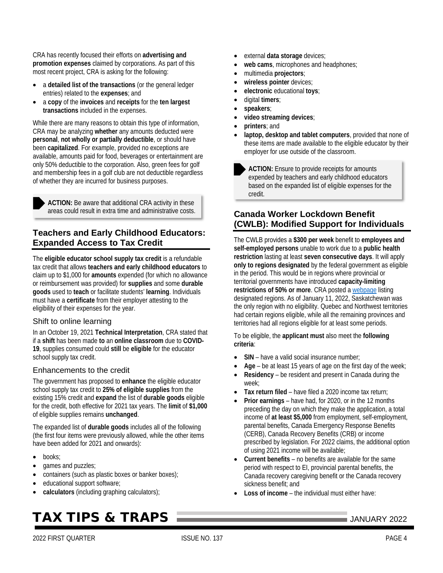CRA has recently focused their efforts on **advertising and promotion expenses** claimed by corporations. As part of this most recent project, CRA is asking for the following:

- a **detailed list of the transactions** (or the general ledger entries) related to the **expenses**; and
- a **copy** of the **invoices** and **receipts** for the **ten largest transactions** included in the expenses.

While there are many reasons to obtain this type of information, CRA may be analyzing **whether** any amounts deducted were **personal**, **not wholly or partially deductible**, or should have been **capitalized**. For example, provided no exceptions are available, amounts paid for food, beverages or entertainment are only 50% deductible to the corporation. Also, green fees for golf and membership fees in a golf club are not deductible regardless of whether they are incurred for business purposes.

**ACTION:** Be aware that additional CRA activity in these areas could result in extra time and administrative costs.

## <span id="page-3-0"></span>**Teachers and Early Childhood Educators: Expanded Access to Tax Credit**

The **eligible educator school supply tax credit** is a refundable tax credit that allows **teachers and early childhood educators** to claim up to \$1,000 for **amounts** expended (for which no allowance or reimbursement was provided) for **supplies** and some **durable goods** used to **teach** or facilitate students' **learning**. Individuals must have a **certificate** from their employer attesting to the eligibility of their expenses for the year.

### Shift to online learning

In an October 19, 2021 **Technical Interpretation**, CRA stated that if a **shift** has been made **to** an **online classroom** due to **COVID-19**, supplies consumed could **still** be **eligible** for the educator school supply tax credit.

### Enhancements to the credit

The government has proposed to **enhance** the eligible educator school supply tax credit to **25% of eligible supplies** from the existing 15% credit and **expand** the list of **durable goods** eligible for the credit, both effective for 2021 tax years. The **limit** of **\$1,000** of eligible supplies remains **unchanged**.

The expanded list of **durable goods** includes all of the following (the first four items were previously allowed, while the other items have been added for 2021 and onwards):

- books;
- games and puzzles;
- containers (such as plastic boxes or banker boxes);
- educational support software;
- **calculators** (including graphing calculators);

# TAX TIPS & TRAPS JANUARY <sup>2022</sup>

- external **data storage** devices;
- web cams, microphones and headphones;
- multimedia **projectors**;
- **wireless pointer** devices;
- **electronic** educational **toys**;
- digital **timers**;
- **speakers**;
- **video streaming devices**;
- **printers**; and
- **laptop, desktop and tablet computers**, provided that none of these items are made available to the eligible educator by their employer for use outside of the classroom.

**ACTION:** Ensure to provide receipts for amounts expended by teachers and early childhood educators based on the expanded list of eligible expenses for the credit.

# <span id="page-3-1"></span>**Canada Worker Lockdown Benefit (CWLB): Modified Support for Individuals**

The CWLB provides a **\$300 per week** benefit to **employees and self-employed persons** unable to work due to a **public health restriction** lasting at least **seven consecutive days**. It will apply **only to regions designated** by the federal government as eligible in the period. This would be in regions where provincial or territorial governments have introduced **capacity-limiting restrictions of 50% or more**. CRA posted [a webpage](https://www.canada.ca/en/revenue-agency/services/benefits/worker-lockdown-benefit/cwlb-regional-lockdowns.html) listing designated regions. As of January 11, 2022, Saskatchewan was the only region with no eligibility. Quebec and Northwest territories had certain regions eligible, while all the remaining provinces and territories had all regions eligible for at least some periods.

To be eligible, the **applicant must** also meet the **following criteria**:

- **SIN** have a valid social insurance number;
- **Age** be at least 15 years of age on the first day of the week;
- **Residency** be resident and present in Canada during the week;
- **Tax return filed** have filed a 2020 income tax return;
- **Prior earnings** have had, for 2020, or in the 12 months preceding the day on which they make the application, a total income of **at least \$5,000** from employment, self-employment, parental benefits, Canada Emergency Response Benefits (CERB), Canada Recovery Benefits (CRB) or income prescribed by legislation. For 2022 claims, the additional option of using 2021 income will be available;
- **Current benefits** no benefits are available for the same period with respect to EI, provincial parental benefits, the Canada recovery caregiving benefit or the Canada recovery sickness benefit; and
- **Loss of income** the individual must either have: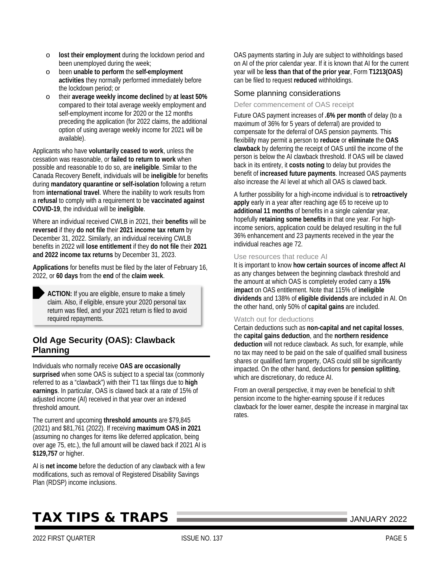- o **lost their employment** during the lockdown period and been unemployed during the week;
- o been **unable to perform** the **self-employment activities** they normally performed immediately before the lockdown period; or
- o their **average weekly income declined** by **at least 50%** compared to their total average weekly employment and self-employment income for 2020 or the 12 months preceding the application (for 2022 claims, the additional option of using average weekly income for 2021 will be available).

Applicants who have **voluntarily ceased to work**, unless the cessation was reasonable, or **failed to return to work** when possible and reasonable to do so, are **ineligible**. Similar to the Canada Recovery Benefit, individuals will be **ineligible** for benefits during **mandatory quarantine or self-isolation** following a return from **international travel**. Where the inability to work results from a **refusal** to comply with a requirement to be **vaccinated against COVID-19**, the individual will be **ineligible**.

Where an individual received CWLB in 2021, their **benefits** will be **reversed** if they **do not file** their **2021 income tax return** by December 31, 2022. Similarly, an individual receiving CWLB benefits in 2022 will **lose entitlement** if they **do not file** their **2021 and 2022 income tax returns** by December 31, 2023.

**Applications** for benefits must be filed by the later of February 16, 2022, or **60 days** from the **end** of the **claim week**.

**ACTION:** If you are eligible, ensure to make a timely claim. Also, if eligible, ensure your 2020 personal tax return was filed, and your 2021 return is filed to avoid required repayments.

# <span id="page-4-0"></span>**Old Age Security (OAS): Clawback Planning**

Individuals who normally receive **OAS are occasionally surprised** when some OAS is subject to a special tax (commonly referred to as a "clawback") with their T1 tax filings due to **high earnings**. In particular, OAS is clawed back at a rate of 15% of adjusted income (AI) received in that year over an indexed threshold amount.

The current and upcoming **threshold amounts** are \$79,845 (2021) and \$81,761 (2022). If receiving **maximum OAS in 2021**  (assuming no changes for items like deferred application, being over age 75, etc.), the full amount will be clawed back if 2021 AI is **\$129,757** or higher.

AI is **net income** before the deduction of any clawback with a few modifications, such as removal of Registered Disability Savings Plan (RDSP) income inclusions.

OAS payments starting in July are subject to withholdings based on AI of the prior calendar year. If it is known that AI for the current year will be **less than that of the prior year**, Form **T1213(OAS)** can be filed to request **reduced** withholdings.

### Some planning considerations

Defer commencement of OAS receipt

Future OAS payment increases of **.6% per month** of delay (to a maximum of 36% for 5 years of deferral) are provided to compensate for the deferral of OAS pension payments. This flexibility may permit a person to **reduce** or **eliminate** the **OAS clawback** by deferring the receipt of OAS until the income of the person is below the AI clawback threshold. If OAS will be clawed back in its entirety, it **costs noting** to delay but provides the benefit of **increased future payments**. Increased OAS payments also increase the AI level at which all OAS is clawed back.

A further possibility for a high-income individual is to **retroactively apply** early in a year after reaching age 65 to receive up to **additional 11 months** of benefits in a single calendar year, hopefully **retaining some benefits** in that one year. For highincome seniors, application could be delayed resulting in the full 36% enhancement and 23 payments received in the year the individual reaches age 72.

#### Use resources that reduce AI

It is important to know **how certain sources of income affect AI** as any changes between the beginning clawback threshold and the amount at which OAS is completely eroded carry a **15% impact** on OAS entitlement. Note that 115% of **ineligible dividends** and 138% of **eligible dividends** are included in AI. On the other hand, only 50% of **capital gains** are included.

#### Watch out for deductions

Certain deductions such as **non-capital and net capital losses**, the **capital gains deduction**, and the **northern residence deduction** will not reduce clawback. As such, for example, while no tax may need to be paid on the sale of qualified small business shares or qualified farm property, OAS could still be significantly impacted. On the other hand, deductions for **pension splitting**, which are discretionary, do reduce AI.

From an overall perspective, it may even be beneficial to shift pension income to the higher-earning spouse if it reduces clawback for the lower earner, despite the increase in marginal tax rates.

# TAX TIPS & TRAPS JANUARY <sup>2022</sup>